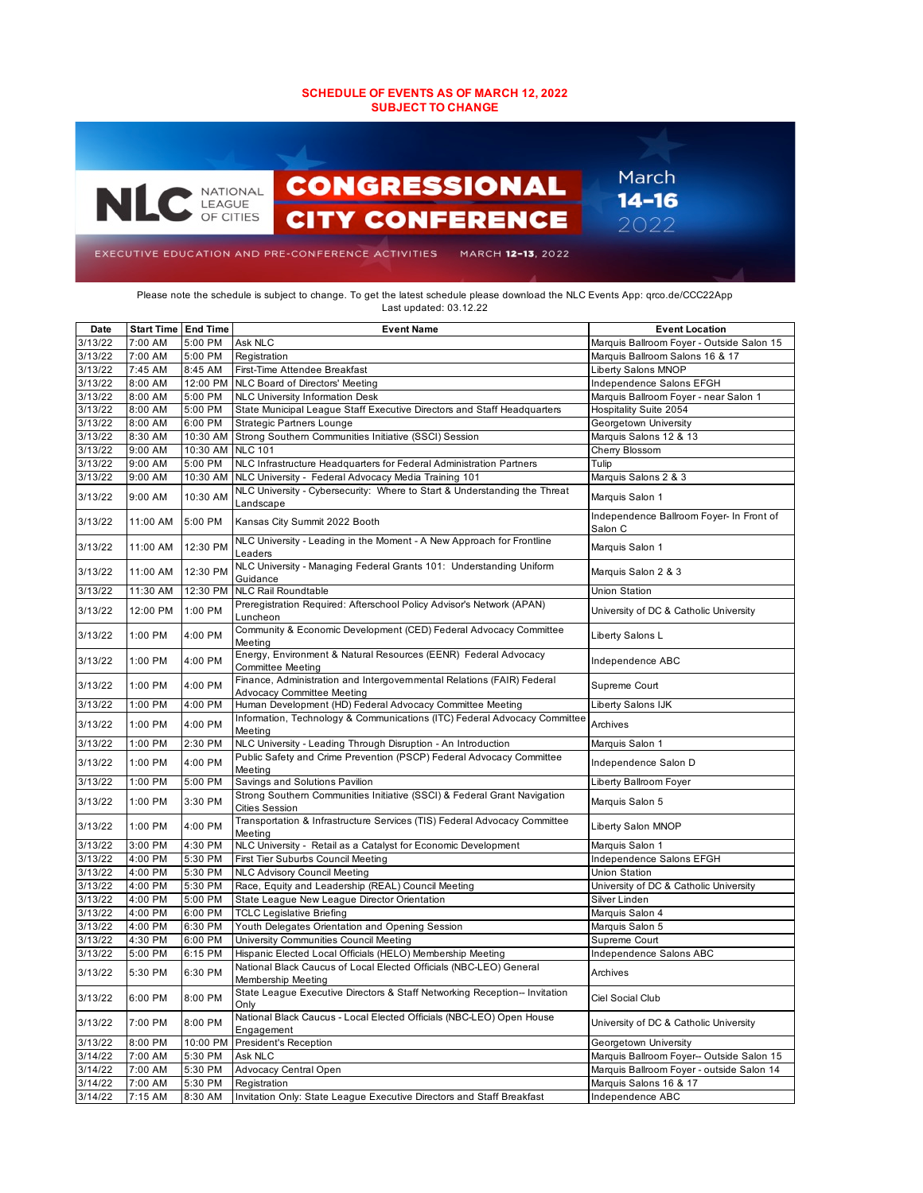## **SCHEDULE OF EVENTS AS OF MARCH 12, 2022 SUBJECT TO CHANGE**



Please note the schedule is subject to change. To get the latest schedule please download the NLC Events App: qrco.de/CCC22App Last updated: 03.12.22

| Date    | <b>Start Time   End Time</b> |          | <b>Event Name</b>                                                                                    | <b>Event Location</b>                               |
|---------|------------------------------|----------|------------------------------------------------------------------------------------------------------|-----------------------------------------------------|
| 3/13/22 | 7:00 AM                      | 5:00 PM  | Ask NLC                                                                                              | Marquis Ballroom Foyer - Outside Salon 15           |
| 3/13/22 | 7:00 AM                      | 5:00 PM  | Registration                                                                                         | Marquis Ballroom Salons 16 & 17                     |
| 3/13/22 | 7:45 AM                      | 8:45 AM  | First-Time Attendee Breakfast                                                                        | Liberty Salons MNOP                                 |
| 3/13/22 | 8:00 AM                      | 12:00 PM | NLC Board of Directors' Meeting                                                                      | Independence Salons EFGH                            |
| 3/13/22 | 8:00 AM                      | 5:00 PM  | <b>NLC University Information Desk</b>                                                               | Marquis Ballroom Foyer - near Salon 1               |
| 3/13/22 | 8:00 AM                      | 5:00 PM  | State Municipal League Staff Executive Directors and Staff Headquarters                              | Hospitality Suite 2054                              |
| 3/13/22 | 8:00 AM                      | 6:00 PM  | <b>Strategic Partners Lounge</b>                                                                     | Georgetown University                               |
| 3/13/22 | 8:30 AM                      | 10:30 AM | Strong Southern Communities Initiative (SSCI) Session                                                | Marquis Salons 12 & 13                              |
| 3/13/22 | 9:00 AM                      | 10:30 AM | <b>NLC 101</b>                                                                                       | Cherry Blossom                                      |
| 3/13/22 | 9:00 AM                      | 5:00 PM  | NLC Infrastructure Headquarters for Federal Administration Partners                                  | Tulip                                               |
| 3/13/22 | 9:00 AM                      | 10:30 AM | NLC University - Federal Advocacy Media Training 101                                                 | Marquis Salons 2 & 3                                |
| 3/13/22 | 9:00 AM                      | 10:30 AM | NLC University - Cybersecurity: Where to Start & Understanding the Threat<br>Landscape               | Marquis Salon 1                                     |
| 3/13/22 | 11:00 AM                     | 5:00 PM  | Kansas City Summit 2022 Booth                                                                        | Independence Ballroom Foyer- In Front of<br>Salon C |
| 3/13/22 | 11:00 AM                     | 12:30 PM | NLC University - Leading in the Moment - A New Approach for Frontline<br>Leaders                     | Marquis Salon 1                                     |
| 3/13/22 | 11:00 AM                     | 12:30 PM | NLC University - Managing Federal Grants 101: Understanding Uniform<br>Guidance                      | Marquis Salon 2 & 3                                 |
| 3/13/22 | 11:30 AM                     | 12:30 PM | <b>NLC Rail Roundtable</b>                                                                           | Union Station                                       |
| 3/13/22 | 12:00 PM                     | 1:00 PM  | Preregistration Required: Afterschool Policy Advisor's Network (APAN)<br>Luncheon                    | University of DC & Catholic University              |
| 3/13/22 | 1:00 PM                      | 4:00 PM  | Community & Economic Development (CED) Federal Advocacy Committee<br>Meeting                         | Liberty Salons L                                    |
| 3/13/22 | 1:00 PM                      | 4:00 PM  | Energy, Environment & Natural Resources (EENR) Federal Advocacy<br>Committee Meeting                 | Independence ABC                                    |
| 3/13/22 | 1:00 PM                      | 4:00 PM  | Finance, Administration and Intergovernmental Relations (FAIR) Federal<br>Advocacy Committee Meeting | Supreme Court                                       |
| 3/13/22 | 1:00 PM                      | 4:00 PM  | Human Development (HD) Federal Advocacy Committee Meeting                                            | Liberty Salons IJK                                  |
| 3/13/22 | 1:00 PM                      | 4:00 PM  | Information, Technology & Communications (ITC) Federal Advocacy Committee<br>Meeting                 | Archives                                            |
| 3/13/22 | 1:00 PM                      | 2:30 PM  | NLC University - Leading Through Disruption - An Introduction                                        | Marquis Salon 1                                     |
| 3/13/22 | 1:00 PM                      | 4:00 PM  | Public Safety and Crime Prevention (PSCP) Federal Advocacy Committee<br>Meeting                      | Independence Salon D                                |
| 3/13/22 | 1:00 PM                      | 5:00 PM  | Savings and Solutions Pavilion                                                                       | Liberty Ballroom Foyer                              |
| 3/13/22 | 1:00 PM                      | 3:30 PM  | Strong Southern Communities Initiative (SSCI) & Federal Grant Navigation<br>Cities Session           | Marquis Salon 5                                     |
| 3/13/22 | 1:00 PM                      | 4:00 PM  | Transportation & Infrastructure Services (TIS) Federal Advocacy Committee<br>Meeting                 | Liberty Salon MNOP                                  |
| 3/13/22 | 3:00 PM                      | 4:30 PM  | NLC University - Retail as a Catalyst for Economic Development                                       | Marquis Salon 1                                     |
| 3/13/22 | 4:00 PM                      | 5:30 PM  | First Tier Suburbs Council Meeting                                                                   | Independence Salons EFGH                            |
| 3/13/22 | 4:00 PM                      | 5:30 PM  | <b>NLC Advisory Council Meeting</b>                                                                  | Union Station                                       |
| 3/13/22 | 4:00 PM                      | 5:30 PM  | Race, Equity and Leadership (REAL) Council Meeting                                                   | University of DC & Catholic University              |
| 3/13/22 | 4:00 PM                      | 5:00 PM  | State League New League Director Orientation                                                         | Silver Linden                                       |
| 3/13/22 | 4:00 PM                      | 6:00 PM  | <b>TCLC Legislative Briefing</b>                                                                     | Marquis Salon 4                                     |
| 3/13/22 | 4:00 PM                      | 6:30 PM  | Youth Delegates Orientation and Opening Session                                                      | Marquis Salon 5                                     |
| 3/13/22 | 4:30 PM                      | 6:00 PM  | University Communities Council Meeting                                                               | Supreme Court                                       |
| 3/13/22 | 5:00 PM                      | 6:15 PM  | Hispanic Elected Local Officials (HELO) Membership Meeting                                           | Independence Salons ABC                             |
| 3/13/22 | 5:30 PM                      | 6:30 PM  | National Black Caucus of Local Elected Officials (NBC-LEO) General<br>Membership Meeting             | Archives                                            |
| 3/13/22 | 6:00 PM                      | 8:00 PM  | State League Executive Directors & Staff Networking Reception-- Invitation<br>Only                   | Ciel Social Club                                    |
| 3/13/22 | 7:00 PM                      | 8:00 PM  | National Black Caucus - Local Elected Officials (NBC-LEO) Open House<br>Engagement                   | University of DC & Catholic University              |
| 3/13/22 | 8:00 PM                      | 10:00 PM | President's Reception                                                                                | Georgetown University                               |
| 3/14/22 | 7:00 AM                      | 5:30 PM  | Ask NLC                                                                                              | Marquis Ballroom Foyer-- Outside Salon 15           |
| 3/14/22 | 7:00 AM                      | 5:30 PM  | Advocacy Central Open                                                                                | Marquis Ballroom Foyer - outside Salon 14           |
| 3/14/22 | 7:00 AM                      | 5:30 PM  | Registration                                                                                         | Marquis Salons 16 & 17                              |
| 3/14/22 | 7:15 AM                      | 8:30 AM  | Invitation Only: State League Executive Directors and Staff Breakfast                                | Independence ABC                                    |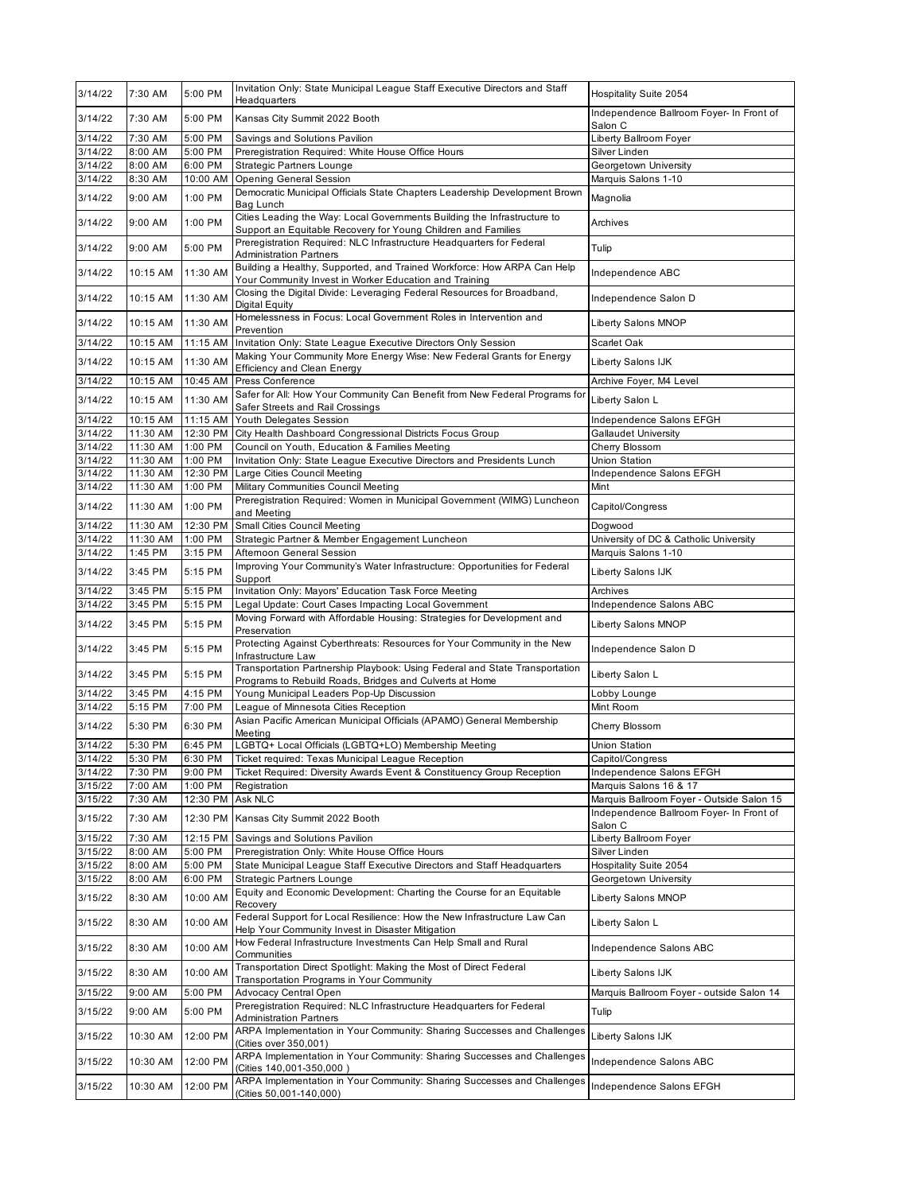| 3/14/22            | 7:30 AM            | 5:00 PM            | Invitation Only: State Municipal League Staff Executive Directors and Staff<br>Headquarters                                               | Hospitality Suite 2054                              |
|--------------------|--------------------|--------------------|-------------------------------------------------------------------------------------------------------------------------------------------|-----------------------------------------------------|
| 3/14/22            | 7:30 AM            | 5:00 PM            | Kansas City Summit 2022 Booth                                                                                                             | Independence Ballroom Foyer- In Front of<br>Salon C |
| 3/14/22            | 7:30 AM            | 5:00 PM            | Savings and Solutions Pavilion                                                                                                            | Liberty Ballroom Foyer                              |
| 3/14/22            | 8:00 AM            | 5:00 PM            | Preregistration Required: White House Office Hours                                                                                        | Silver Linden                                       |
| 3/14/22            | 8:00 AM            | 6:00 PM            | <b>Strategic Partners Lounge</b>                                                                                                          | Georgetown University                               |
| 3/14/22            | 8:30 AM            | 10:00 AM           | <b>Opening General Session</b>                                                                                                            | Marquis Salons 1-10                                 |
| 3/14/22            | 9:00 AM            | 1:00 PM            | Democratic Municipal Officials State Chapters Leadership Development Brown<br>Bag Lunch                                                   | Magnolia                                            |
| 3/14/22            | 9:00 AM            | 1:00 PM            | Cities Leading the Way: Local Governments Building the Infrastructure to<br>Support an Equitable Recovery for Young Children and Families | Archives                                            |
| 3/14/22            | 9:00 AM            | 5:00 PM            | Preregistration Required: NLC Infrastructure Headquarters for Federal<br><b>Administration Partners</b>                                   | Tulip                                               |
| 3/14/22            | 10:15 AM           | 11:30 AM           | Building a Healthy, Supported, and Trained Workforce: How ARPA Can Help<br>Your Community Invest in Worker Education and Training         | Independence ABC                                    |
| 3/14/22            | 10:15 AM           | 11:30 AM           | Closing the Digital Divide: Leveraging Federal Resources for Broadband,<br>Digital Equity                                                 | Independence Salon D                                |
| 3/14/22            | 10:15 AM           | 11:30 AM           | Homelessness in Focus: Local Government Roles in Intervention and<br>Prevention                                                           | Liberty Salons MNOP                                 |
| 3/14/22            | 10:15 AM           | 11:15 AM           | Invitation Only: State League Executive Directors Only Session                                                                            | Scarlet Oak                                         |
| 3/14/22            | 10:15 AM           | 11:30 AM           | Making Your Community More Energy Wise: New Federal Grants for Energy                                                                     | Liberty Salons IJK                                  |
| 3/14/22            | 10:15 AM           | 10:45 AM           | Efficiency and Clean Energy<br>Press Conference                                                                                           | Archive Foyer, M4 Level                             |
| 3/14/22            | 10:15 AM           | 11:30 AM           | Safer for All: How Your Community Can Benefit from New Federal Programs for<br>Safer Streets and Rail Crossings                           | Liberty Salon L                                     |
| 3/14/22            | 10:15 AM           | 11:15 AM           | Youth Delegates Session                                                                                                                   | Independence Salons EFGH                            |
| 3/14/22            | 11:30 AM           | 12:30 PM           | City Health Dashboard Congressional Districts Focus Group                                                                                 | Gallaudet University                                |
| 3/14/22            | 11:30 AM           | 1:00 PM            | Council on Youth, Education & Families Meeting                                                                                            | Cherry Blossom                                      |
| 3/14/22            | 11:30 AM           | 1:00 PM            | Invitation Only: State League Executive Directors and Presidents Lunch                                                                    | Union Station                                       |
| 3/14/22            | 11:30 AM           | 12:30 PM           | Large Cities Council Meeting                                                                                                              | Independence Salons EFGH                            |
| 3/14/22            | 11:30 AM           | 1:00 PM            | Military Communities Council Meeting                                                                                                      | Mint                                                |
| 3/14/22            | 11:30 AM           | 1:00 PM            | Preregistration Required: Women in Municipal Government (WIMG) Luncheon<br>and Meeting                                                    | Capitol/Congress                                    |
| 3/14/22            | 11:30 AM           | 12:30 PM           | Small Cities Council Meeting                                                                                                              | Dogwood                                             |
| 3/14/22            | 11:30 AM           | 1:00 PM            | Strategic Partner & Member Engagement Luncheon                                                                                            | University of DC & Catholic University              |
| 3/14/22            | 1:45 PM            | 3:15 PM            | Afternoon General Session                                                                                                                 | Marquis Salons 1-10                                 |
| 3/14/22            | 3:45 PM            | 5:15 PM            | Improving Your Community's Water Infrastructure: Opportunities for Federal<br>Support                                                     | Liberty Salons IJK                                  |
| 3/14/22<br>3/14/22 | 3:45 PM<br>3:45 PM | 5:15 PM<br>5:15 PM | Invitation Only: Mayors' Education Task Force Meeting                                                                                     | Archives<br>Independence Salons ABC                 |
| 3/14/22            | 3:45 PM            | 5:15 PM            | Legal Update: Court Cases Impacting Local Government<br>Moving Forward with Affordable Housing: Strategies for Development and            | Liberty Salons MNOP                                 |
| 3/14/22            | 3:45 PM            | 5:15 PM            | Preservation<br>Protecting Against Cyberthreats: Resources for Your Community in the New                                                  | Independence Salon D                                |
| 3/14/22            | 3:45 PM            | 5:15 PM            | Infrastructure Law<br>Transportation Partnership Playbook: Using Federal and State Transportation                                         | Liberty Salon L                                     |
| 3/14/22            | 3:45 PM            | 4:15 PM            | Programs to Rebuild Roads, Bridges and Culverts at Home<br>Young Municipal Leaders Pop-Up Discussion                                      | Lobby Lounge                                        |
| 3/14/22            | 5:15 PM            | 7:00 PM            | League of Minnesota Cities Reception                                                                                                      | Mint Room                                           |
| 3/14/22            | 5:30 PM            | 6:30 PM            | Asian Pacific American Municipal Officials (APAMO) General Membership<br>Meeting                                                          | Cherry Blossom                                      |
| 3/14/22            | 5:30 PM            | 6:45 PM            | LGBTQ+ Local Officials (LGBTQ+LO) Membership Meeting                                                                                      | Union Station                                       |
| 3/14/22            | 5:30 PM            | 6:30 PM            | Ticket required: Texas Municipal League Reception                                                                                         | Capitol/Congress                                    |
| 3/14/22            | 7:30 PM            | 9:00 PM            | Ticket Required: Diversity Awards Event & Constituency Group Reception                                                                    | Independence Salons EFGH                            |
| 3/15/22            | 7:00 AM            | 1:00 PM            | Registration                                                                                                                              | Marquis Salons 16 & 17                              |
| 3/15/22            | 7:30 AM            | 12:30 PM           | Ask NLC                                                                                                                                   | Marquis Ballroom Foyer - Outside Salon 15           |
| 3/15/22            | 7:30 AM            | 12:30 PM           | Kansas City Summit 2022 Booth                                                                                                             | Independence Ballroom Foyer- In Front of<br>Salon C |
| 3/15/22            | 7:30 AM            | 12:15 PM           | Savings and Solutions Pavilion                                                                                                            | Liberty Ballroom Foyer                              |
| 3/15/22            | 8:00 AM            | 5:00 PM            | Preregistration Only: White House Office Hours                                                                                            | Silver Linden                                       |
| 3/15/22            | 8:00 AM            | 5:00 PM            | State Municipal League Staff Executive Directors and Staff Headquarters                                                                   | Hospitality Suite 2054                              |
| 3/15/22            | 8:00 AM            | 6:00 PM            | <b>Strategic Partners Lounge</b><br>Equity and Economic Development: Charting the Course for an Equitable                                 | Georgetown University                               |
| 3/15/22            | 8:30 AM            | 10:00 AM           | Recovery                                                                                                                                  | Liberty Salons MNOP                                 |
| 3/15/22            | 8:30 AM            | 10:00 AM           | Federal Support for Local Resilience: How the New Infrastructure Law Can<br>Help Your Community Invest in Disaster Mitigation             | Liberty Salon L                                     |
| 3/15/22            | 8:30 AM            | 10:00 AM           | How Federal Infrastructure Investments Can Help Small and Rural<br>Communities                                                            | Independence Salons ABC                             |
| 3/15/22            | 8:30 AM            | 10:00 AM           | Transportation Direct Spotlight: Making the Most of Direct Federal<br>Transportation Programs in Your Community                           | Liberty Salons IJK                                  |
| 3/15/22            | 9:00 AM            | 5:00 PM            | Advocacy Central Open                                                                                                                     | Marquis Ballroom Foyer - outside Salon 14           |
| 3/15/22            | 9:00 AM            | 5:00 PM            | Preregistration Required: NLC Infrastructure Headquarters for Federal<br><b>Administration Partners</b>                                   | Tulip                                               |
| 3/15/22            | 10:30 AM           | 12:00 PM           | ARPA Implementation in Your Community: Sharing Successes and Challenges<br>(Cities over 350,001)                                          | Liberty Salons IJK                                  |
| 3/15/22            |                    |                    | ARPA Implementation in Your Community: Sharing Successes and Challenges                                                                   | Independence Salons ABC                             |
|                    | 10:30 AM           | 12:00 PM           | (Cities 140,001-350,000)<br>ARPA Implementation in Your Community: Sharing Successes and Challenges                                       |                                                     |